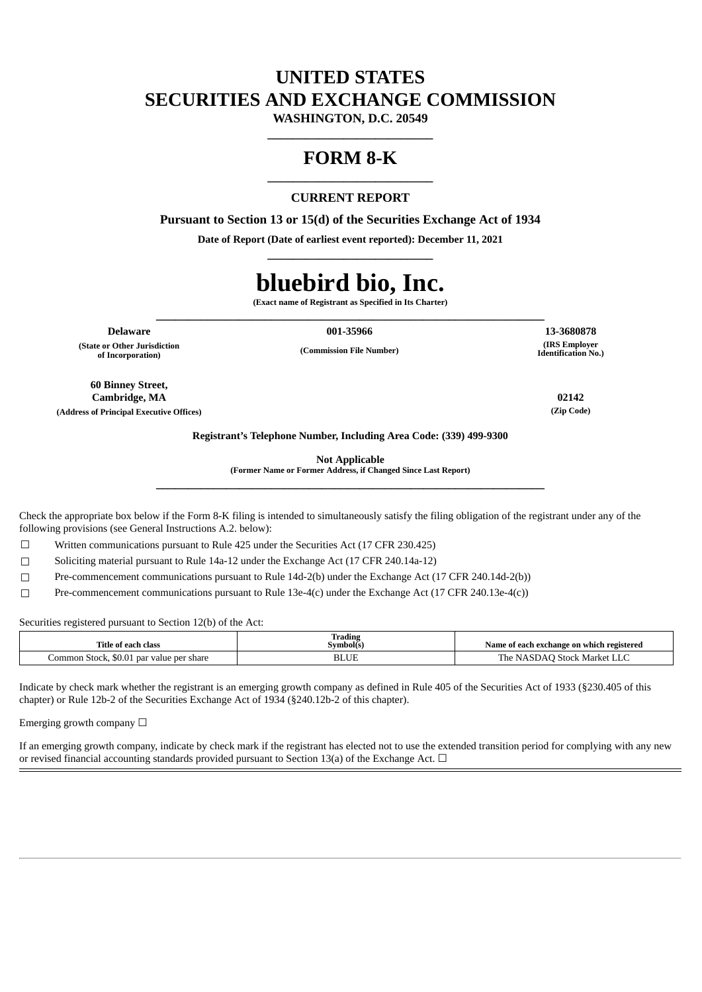# **UNITED STATES SECURITIES AND EXCHANGE COMMISSION**

**WASHINGTON, D.C. 20549 \_\_\_\_\_\_\_\_\_\_\_\_\_\_\_\_\_\_\_\_\_\_\_\_\_\_**

## **FORM 8-K \_\_\_\_\_\_\_\_\_\_\_\_\_\_\_\_\_\_\_\_\_\_\_\_\_\_**

### **CURRENT REPORT**

**Pursuant to Section 13 or 15(d) of the Securities Exchange Act of 1934**

**Date of Report (Date of earliest event reported): December 11, 2021 \_\_\_\_\_\_\_\_\_\_\_\_\_\_\_\_\_\_\_\_\_\_\_\_\_\_**

# **bluebird bio, Inc.**

**(Exact name of Registrant as Specified in Its Charter) \_\_\_\_\_\_\_\_\_\_\_\_\_\_\_\_\_\_\_\_\_\_\_\_\_\_\_\_\_\_\_\_\_\_\_\_\_\_\_\_\_\_\_\_\_\_\_\_\_\_\_\_\_\_\_\_\_\_\_\_\_**

**Delaware 001-35966 13-3680878**

**(State or Other Jurisdiction of Incorporation)**

**(Commission File Number)**

**60 Binney Street, Cambridge, MA 02142 (Address of Principal Executive Offices) (Zip Code)**

**(IRS Employer Identification No.)**

**Registrant's Telephone Number, Including Area Code: (339) 499-9300**

**Not Applicable**

**(Former Name or Former Address, if Changed Since Last Report) \_\_\_\_\_\_\_\_\_\_\_\_\_\_\_\_\_\_\_\_\_\_\_\_\_\_\_\_\_\_\_\_\_\_\_\_\_\_\_\_\_\_\_\_\_\_\_\_\_\_\_\_\_\_\_\_\_\_\_\_\_**

Check the appropriate box below if the Form 8-K filing is intended to simultaneously satisfy the filing obligation of the registrant under any of the following provisions (see General Instructions A.2. below):

☐ Written communications pursuant to Rule 425 under the Securities Act (17 CFR 230.425)

☐ Soliciting material pursuant to Rule 14a-12 under the Exchange Act (17 CFR 240.14a-12)

☐ Pre-commencement communications pursuant to Rule 14d-2(b) under the Exchange Act (17 CFR 240.14d-2(b))

 $\Box$  Pre-commencement communications pursuant to Rule 13e-4(c) under the Exchange Act (17 CFR 240.13e-4(c))

Securities registered pursuant to Section 12(b) of the Act:

| Title of each class                              | Frading<br>svmbol(s' | Name of each exchange on which registered |
|--------------------------------------------------|----------------------|-------------------------------------------|
| \$0.01<br>Lommon Stock.<br>l par value per share | זז זם<br>DLUE        | ` Stock Market LLC<br>. ne<br>NL<br>NA    |

Indicate by check mark whether the registrant is an emerging growth company as defined in Rule 405 of the Securities Act of 1933 (§230.405 of this chapter) or Rule 12b-2 of the Securities Exchange Act of 1934 (§240.12b-2 of this chapter).

Emerging growth company  $\Box$ 

If an emerging growth company, indicate by check mark if the registrant has elected not to use the extended transition period for complying with any new or revised financial accounting standards provided pursuant to Section 13(a) of the Exchange Act.  $\Box$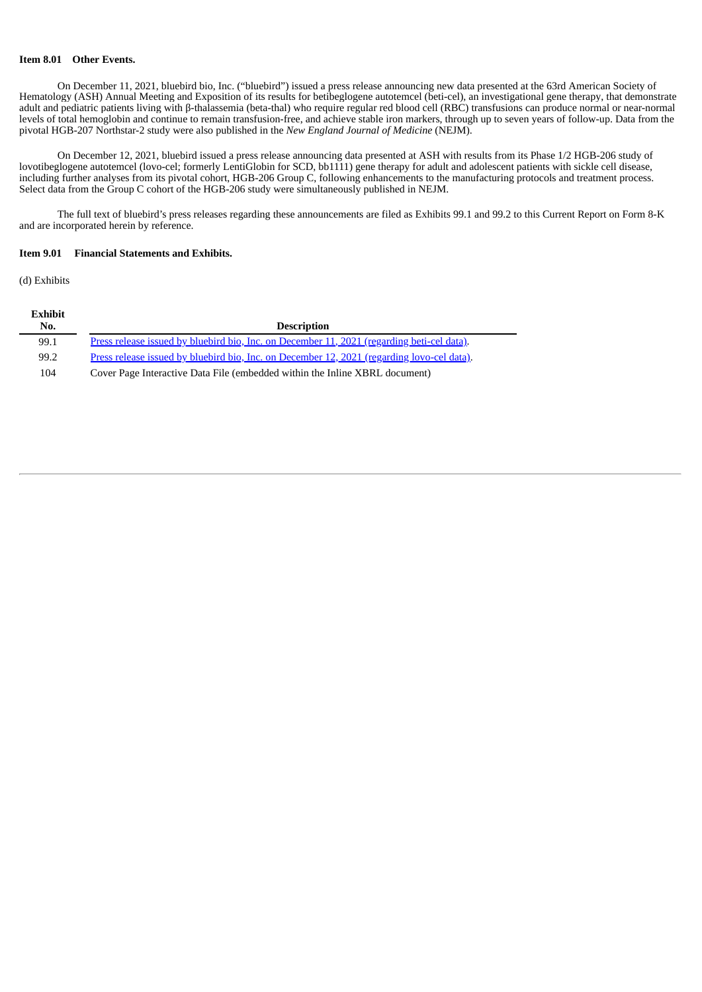#### **Item 8.01 Other Events.**

On December 11, 2021, bluebird bio, Inc. ("bluebird") issued a press release announcing new data presented at the 63rd American Society of Hematology (ASH) Annual Meeting and Exposition of its results for betibeglogene autotemcel (beti-cel), an investigational gene therapy, that demonstrate adult and pediatric patients living with β-thalassemia (beta-thal) who require regular red blood cell (RBC) transfusions can produce normal or near-normal levels of total hemoglobin and continue to remain transfusion-free, and achieve stable iron markers, through up to seven years of follow-up. Data from the pivotal HGB-207 Northstar-2 study were also published in the *New England Journal of Medicine* (NEJM).

On December 12, 2021, bluebird issued a press release announcing data presented at ASH with results from its Phase 1/2 HGB-206 study of lovotibeglogene autotemcel (lovo-cel; formerly LentiGlobin for SCD, bb1111) gene therapy for adult and adolescent patients with sickle cell disease, including further analyses from its pivotal cohort, HGB-206 Group C, following enhancements to the manufacturing protocols and treatment process. Select data from the Group C cohort of the HGB-206 study were simultaneously published in NEJM.

The full text of bluebird's press releases regarding these announcements are filed as Exhibits 99.1 and 99.2 to this Current Report on Form 8-K and are incorporated herein by reference.

#### **Item 9.01 Financial Statements and Exhibits.**

(d) Exhibits

| Exhibit<br>No. | <b>Description</b>                                                                         |
|----------------|--------------------------------------------------------------------------------------------|
| 99.1           | Press release issued by bluebird bio, Inc. on December 11, 2021 (regarding beti-cel data). |
| 99.2           | Press release issued by bluebird bio, Inc. on December 12, 2021 (regarding lovo-cel data). |
| 104            | Cover Page Interactive Data File (embedded within the Inline XBRL document)                |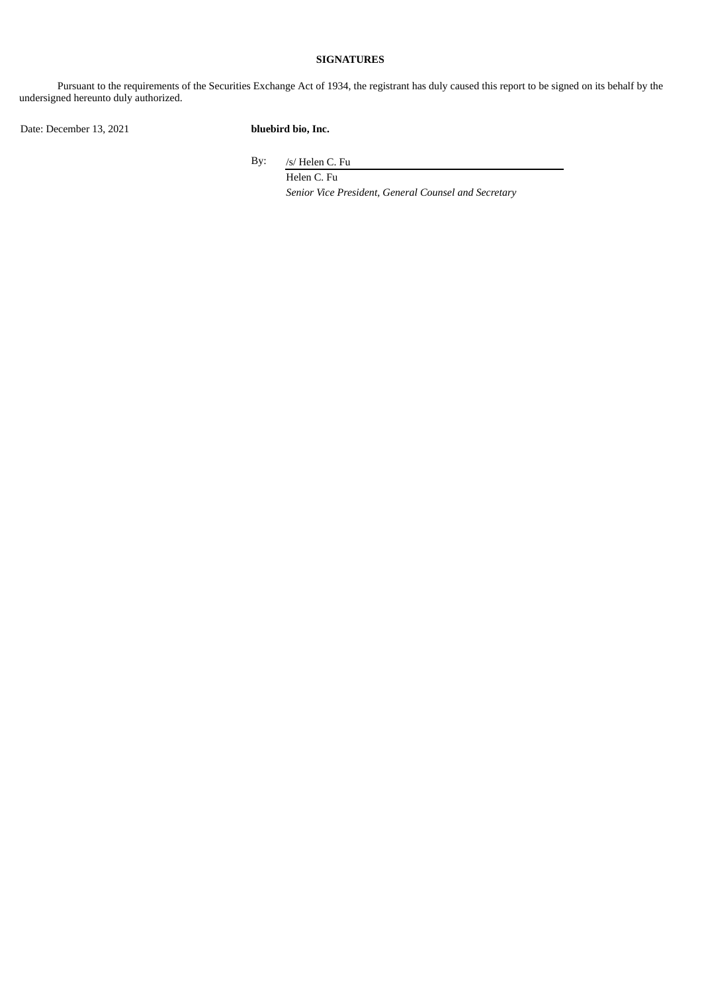#### **SIGNATURES**

Pursuant to the requirements of the Securities Exchange Act of 1934, the registrant has duly caused this report to be signed on its behalf by the undersigned hereunto duly authorized.

Date: December 13, 2021 **bluebird bio, Inc.**

By: /s/ Helen C. Fu

Helen C. Fu *Senior Vice President, General Counsel and Secretary*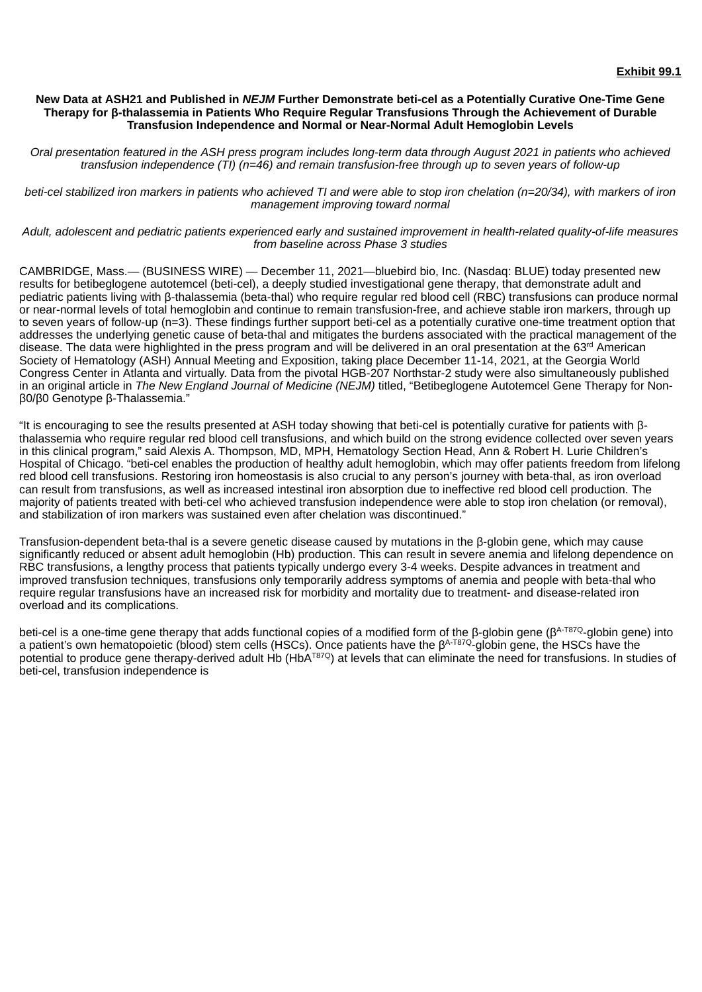#### <span id="page-3-0"></span>New Data at ASH21 and Published in NEJM Further Demonstrate beti-cel as a Potentially Curative One-Time Gene **Therapy for β-thalassemia in Patients Who Require Regular Transfusions Through the Achievement of Durable Transfusion Independence and Normal or Near-Normal Adult Hemoglobin Levels**

Oral presentation featured in the ASH press program includes long-term data through August 2021 in patients who achieved *transfusion independence (TI) (n=46) and remain transfusion-free through up to seven years of follow-up*

#### beti-cel stabilized iron markers in patients who achieved TI and were able to stop iron chelation (n=20/34), with markers of iron *management improving toward normal*

Adult, adolescent and pediatric patients experienced early and sustained improvement in health-related quality-of-life measures *from baseline across Phase 3 studies*

CAMBRIDGE, Mass.— (BUSINESS WIRE) — December 11, 2021—bluebird bio, Inc. (Nasdaq: BLUE) today presented new results for betibeglogene autotemcel (beti-cel), a deeply studied investigational gene therapy, that demonstrate adult and pediatric patients living with β-thalassemia (beta-thal) who require regular red blood cell (RBC) transfusions can produce normal or near-normal levels of total hemoglobin and continue to remain transfusion-free, and achieve stable iron markers, through up to seven years of follow-up (n=3). These findings further support beti-cel as a potentially curative one-time treatment option that addresses the underlying genetic cause of beta-thal and mitigates the burdens associated with the practical management of the disease. The data were highlighted in the press program and will be delivered in an oral presentation at the 63<sup>rd</sup> American Society of Hematology (ASH) Annual Meeting and Exposition, taking place December 11-14, 2021, at the Georgia World Congress Center in Atlanta and virtually. Data from the pivotal HGB-207 Northstar-2 study were also simultaneously published in an original article in *The New England Journal of Medicine (NEJM)* titled, "Betibeglogene Autotemcel Gene Therapy for Nonβ0/β0 Genotype β-Thalassemia."

"It is encouraging to see the results presented at ASH today showing that beti-cel is potentially curative for patients with βthalassemia who require regular red blood cell transfusions, and which build on the strong evidence collected over seven years in this clinical program," said Alexis A. Thompson, MD, MPH, Hematology Section Head, Ann & Robert H. Lurie Children's Hospital of Chicago. "beti-cel enables the production of healthy adult hemoglobin, which may offer patients freedom from lifelong red blood cell transfusions. Restoring iron homeostasis is also crucial to any person's journey with beta-thal, as iron overload can result from transfusions, as well as increased intestinal iron absorption due to ineffective red blood cell production. The majority of patients treated with beti-cel who achieved transfusion independence were able to stop iron chelation (or removal), and stabilization of iron markers was sustained even after chelation was discontinued."

Transfusion-dependent beta-thal is a severe genetic disease caused by mutations in the β-globin gene, which may cause significantly reduced or absent adult hemoglobin (Hb) production. This can result in severe anemia and lifelong dependence on RBC transfusions, a lengthy process that patients typically undergo every 3-4 weeks. Despite advances in treatment and improved transfusion techniques, transfusions only temporarily address symptoms of anemia and people with beta-thal who require regular transfusions have an increased risk for morbidity and mortality due to treatment- and disease-related iron overload and its complications.

beti-cel is a one-time gene therapy that adds functional copies of a modified form of the β-globin gene (β<sup>A-T87Q</sup>-globin gene) into a patient's own hematopoietic (blood) stem cells (HSCs). Once patients have the  $\beta^{\text{A-T87Q}}$ -globin gene, the HSCs have the potential to produce gene therapy-derived adult Hb (HbA<sup>T87Q</sup>) at levels that can eliminate the need for transfusions. In studies of beti-cel, transfusion independence is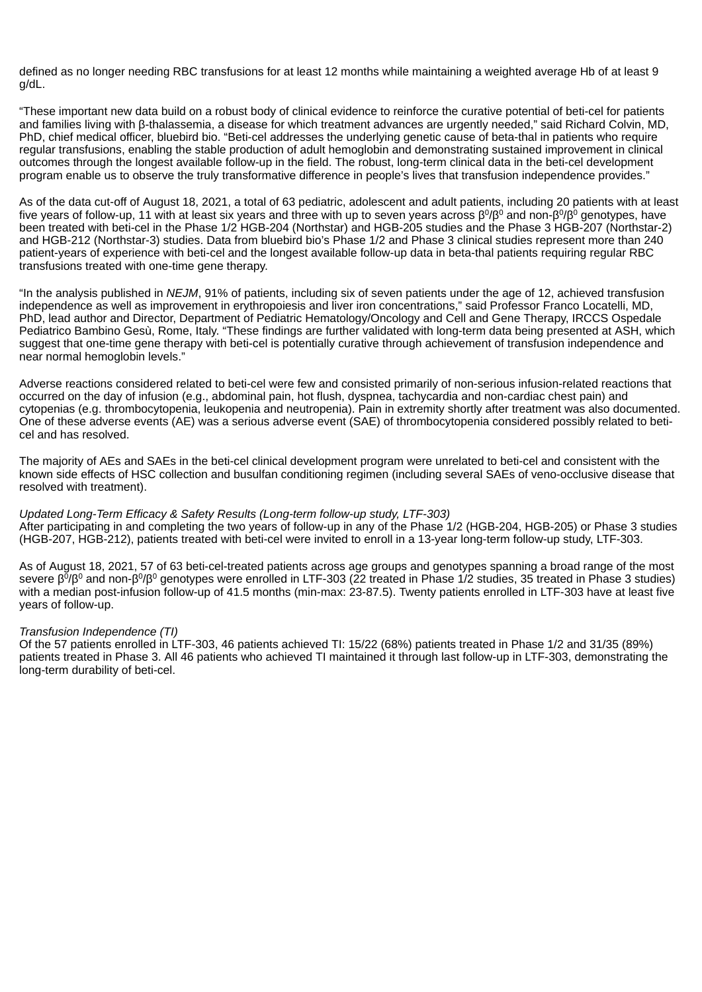defined as no longer needing RBC transfusions for at least 12 months while maintaining a weighted average Hb of at least 9 g/dL.

"These important new data build on a robust body of clinical evidence to reinforce the curative potential of beti-cel for patients and families living with β-thalassemia, a disease for which treatment advances are urgently needed," said Richard Colvin, MD, PhD, chief medical officer, bluebird bio. "Beti-cel addresses the underlying genetic cause of beta-thal in patients who require regular transfusions, enabling the stable production of adult hemoglobin and demonstrating sustained improvement in clinical outcomes through the longest available follow-up in the field. The robust, long-term clinical data in the beti-cel development program enable us to observe the truly transformative difference in people's lives that transfusion independence provides."

As of the data cut-off of August 18, 2021, a total of 63 pediatric, adolescent and adult patients, including 20 patients with at least five years of follow-up, 11 with at least six years and three with up to seven years across β<sup>0</sup>/β<sup>0</sup> and non-β<sup>0</sup>/β<sup>0</sup> genotypes, have been treated with beti-cel in the Phase 1/2 HGB-204 (Northstar) and HGB-205 studies and the Phase 3 HGB-207 (Northstar-2) and HGB-212 (Northstar-3) studies. Data from bluebird bio's Phase 1/2 and Phase 3 clinical studies represent more than 240 patient-years of experience with beti-cel and the longest available follow-up data in beta-thal patients requiring regular RBC transfusions treated with one-time gene therapy.

"In the analysis published in *NEJM*, 91% of patients, including six of seven patients under the age of 12, achieved transfusion independence as well as improvement in erythropoiesis and liver iron concentrations," said Professor Franco Locatelli, MD, PhD, lead author and Director, Department of Pediatric Hematology/Oncology and Cell and Gene Therapy, IRCCS Ospedale Pediatrico Bambino Gesù, Rome, Italy. "These findings are further validated with long-term data being presented at ASH, which suggest that one-time gene therapy with beti-cel is potentially curative through achievement of transfusion independence and near normal hemoglobin levels."

Adverse reactions considered related to beti-cel were few and consisted primarily of non-serious infusion-related reactions that occurred on the day of infusion (e.g., abdominal pain, hot flush, dyspnea, tachycardia and non-cardiac chest pain) and cytopenias (e.g. thrombocytopenia, leukopenia and neutropenia). Pain in extremity shortly after treatment was also documented. One of these adverse events (AE) was a serious adverse event (SAE) of thrombocytopenia considered possibly related to beticel and has resolved.

The majority of AEs and SAEs in the beti-cel clinical development program were unrelated to beti-cel and consistent with the known side effects of HSC collection and busulfan conditioning regimen (including several SAEs of veno-occlusive disease that resolved with treatment).

#### *Updated Long-Term Efficacy & Safety Results (Long-term follow-up study, LTF-303)*

After participating in and completing the two years of follow-up in any of the Phase 1/2 (HGB-204, HGB-205) or Phase 3 studies (HGB-207, HGB-212), patients treated with beti-cel were invited to enroll in a 13-year long-term follow-up study, LTF-303.

As of August 18, 2021, 57 of 63 beti-cel-treated patients across age groups and genotypes spanning a broad range of the most severe β<sup>0</sup>/β<sup>0</sup> and non-β<sup>0</sup>/β<sup>0</sup> genotypes were enrolled in LTF-303 (22 treated in Phase 1/2 studies, 35 treated in Phase 3 studies) with a median post-infusion follow-up of 41.5 months (min-max: 23-87.5). Twenty patients enrolled in LTF-303 have at least five years of follow-up.

#### *Transfusion Independence (TI)*

Of the 57 patients enrolled in LTF-303, 46 patients achieved TI: 15/22 (68%) patients treated in Phase 1/2 and 31/35 (89%) patients treated in Phase 3. All 46 patients who achieved TI maintained it through last follow-up in LTF-303, demonstrating the long-term durability of beti-cel.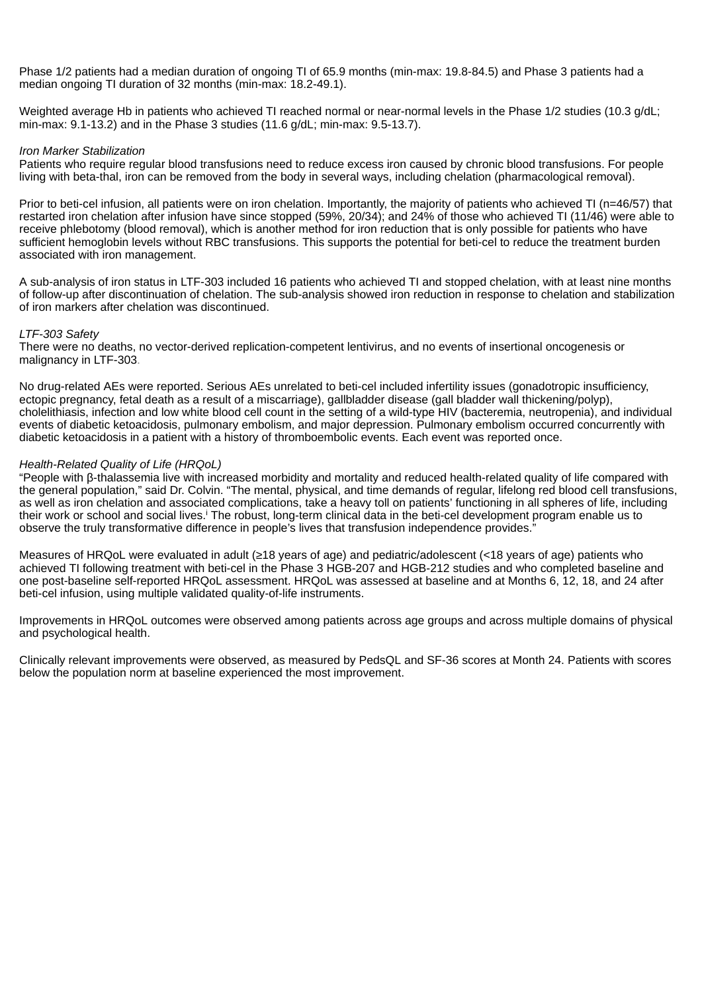Phase 1/2 patients had a median duration of ongoing TI of 65.9 months (min-max: 19.8-84.5) and Phase 3 patients had a median ongoing TI duration of 32 months (min-max: 18.2-49.1).

Weighted average Hb in patients who achieved TI reached normal or near-normal levels in the Phase 1/2 studies (10.3 g/dL; min-max: 9.1-13.2) and in the Phase 3 studies (11.6 g/dL; min-max: 9.5-13.7).

#### *Iron Marker Stabilization*

Patients who require regular blood transfusions need to reduce excess iron caused by chronic blood transfusions. For people living with beta-thal, iron can be removed from the body in several ways, including chelation (pharmacological removal).

Prior to beti-cel infusion, all patients were on iron chelation. Importantly, the majority of patients who achieved TI (n=46/57) that restarted iron chelation after infusion have since stopped (59%, 20/34); and 24% of those who achieved TI (11/46) were able to receive phlebotomy (blood removal), which is another method for iron reduction that is only possible for patients who have sufficient hemoglobin levels without RBC transfusions. This supports the potential for beti-cel to reduce the treatment burden associated with iron management.

A sub-analysis of iron status in LTF-303 included 16 patients who achieved TI and stopped chelation, with at least nine months of follow-up after discontinuation of chelation. The sub-analysis showed iron reduction in response to chelation and stabilization of iron markers after chelation was discontinued.

#### *LTF-303 Safety*

There were no deaths, no vector-derived replication-competent lentivirus, and no events of insertional oncogenesis or malignancy in LTF-303.

No drug-related AEs were reported. Serious AEs unrelated to beti-cel included infertility issues (gonadotropic insufficiency, ectopic pregnancy, fetal death as a result of a miscarriage), gallbladder disease (gall bladder wall thickening/polyp), cholelithiasis, infection and low white blood cell count in the setting of a wild-type HIV (bacteremia, neutropenia), and individual events of diabetic ketoacidosis, pulmonary embolism, and major depression. Pulmonary embolism occurred concurrently with diabetic ketoacidosis in a patient with a history of thromboembolic events. Each event was reported once.

#### *Health-Related Quality of Life (HRQoL)*

"People with β-thalassemia live with increased morbidity and mortality and reduced health-related quality of life compared with the general population," said Dr. Colvin. "The mental, physical, and time demands of regular, lifelong red blood cell transfusions, as well as iron chelation and associated complications, take a heavy toll on patients' functioning in all spheres of life, including their work or school and social lives.<sup>i</sup> The robust, long-term clinical data in the beti-cel development program enable us to observe the truly transformative difference in people's lives that transfusion independence provides."

Measures of HRQoL were evaluated in adult (≥18 years of age) and pediatric/adolescent (<18 years of age) patients who achieved TI following treatment with beti-cel in the Phase 3 HGB-207 and HGB-212 studies and who completed baseline and one post-baseline self-reported HRQoL assessment. HRQoL was assessed at baseline and at Months 6, 12, 18, and 24 after beti-cel infusion, using multiple validated quality-of-life instruments.

Improvements in HRQoL outcomes were observed among patients across age groups and across multiple domains of physical and psychological health.

Clinically relevant improvements were observed, as measured by PedsQL and SF-36 scores at Month 24. Patients with scores below the population norm at baseline experienced the most improvement.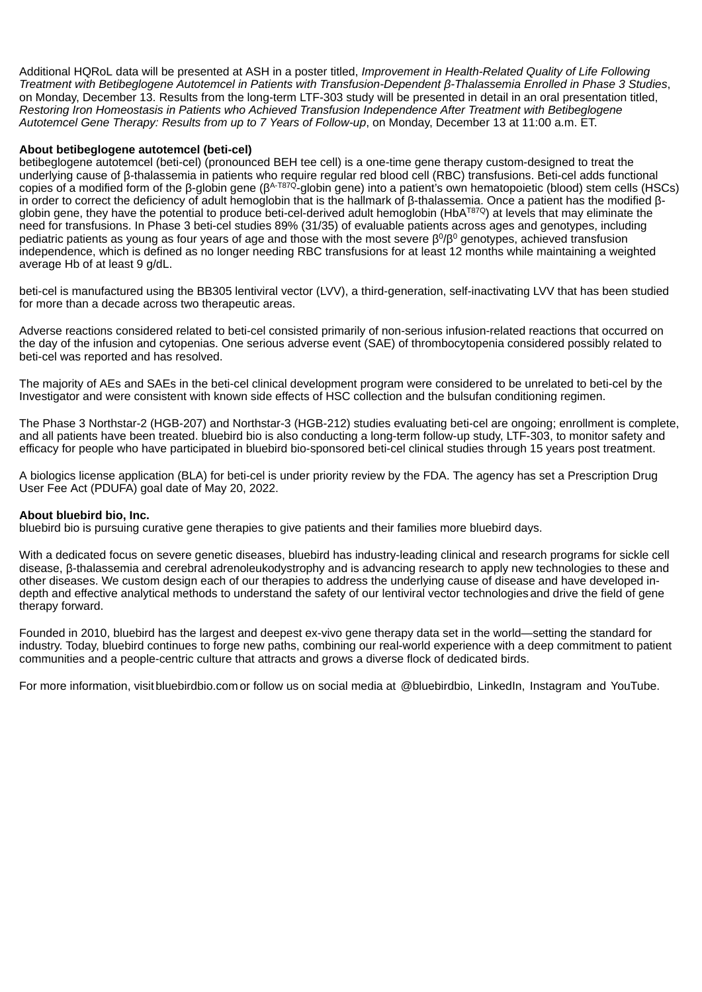Additional HQRoL data will be presented at ASH in a poster titled, *Improvement in Health-Related Quality of Life Following Treatment with Betibeglogene Autotemcel in Patients with Transfusion-Dependent β-Thalassemia Enrolled in Phase 3 Studies*, on Monday, December 13. Results from the long-term LTF-303 study will be presented in detail in an oral presentation titled, *Restoring Iron Homeostasis in Patients who Achieved Transfusion Independence After Treatment with Betibeglogene Autotemcel Gene Therapy: Results from up to 7 Years of Follow-up*, on Monday, December 13 at 11:00 a.m. ET.

#### **About betibeglogene autotemcel (beti-cel)**

betibeglogene autotemcel (beti-cel) (pronounced BEH tee cell) is a one-time gene therapy custom-designed to treat the underlying cause of β-thalassemia in patients who require regular red blood cell (RBC) transfusions. Beti-cel adds functional copies of a modified form of the β-globin gene ( $\beta^{A-T87Q}$ -globin gene) into a patient's own hematopoietic (blood) stem cells (HSCs) in order to correct the deficiency of adult hemoglobin that is the hallmark of β-thalassemia. Once a patient has the modified βglobin gene, they have the potential to produce beti-cel-derived adult hemoglobin (HbA<sup>T87Q</sup>) at levels that may eliminate the need for transfusions. In Phase 3 beti-cel studies 89% (31/35) of evaluable patients across ages and genotypes, including pediatric patients as young as four years of age and those with the most severe  $\beta^{0}/\beta^{0}$  genotypes, achieved transfusion independence, which is defined as no longer needing RBC transfusions for at least 12 months while maintaining a weighted average Hb of at least 9 g/dL.

beti-cel is manufactured using the BB305 lentiviral vector (LVV), a third-generation, self-inactivating LVV that has been studied for more than a decade across two therapeutic areas.

Adverse reactions considered related to beti-cel consisted primarily of non-serious infusion-related reactions that occurred on the day of the infusion and cytopenias. One serious adverse event (SAE) of thrombocytopenia considered possibly related to beti-cel was reported and has resolved.

The majority of AEs and SAEs in the beti-cel clinical development program were considered to be unrelated to beti-cel by the Investigator and were consistent with known side effects of HSC collection and the bulsufan conditioning regimen.

The Phase 3 Northstar-2 (HGB-207) and Northstar-3 (HGB-212) studies evaluating beti-cel are ongoing; enrollment is complete, and all patients have been treated. bluebird bio is also conducting a long-term follow-up study, LTF-303, to monitor safety and efficacy for people who have participated in bluebird bio-sponsored beti-cel clinical studies through 15 years post treatment.

A biologics license application (BLA) for beti-cel is under priority review by the FDA. The agency has set a Prescription Drug User Fee Act (PDUFA) goal date of May 20, 2022.

#### **About bluebird bio, Inc.**

bluebird bio is pursuing curative gene therapies to give patients and their families more bluebird days.

With a dedicated focus on severe genetic diseases, bluebird has industry-leading clinical and research programs for sickle cell disease, β-thalassemia and cerebral adrenoleukodystrophy and is advancing research to apply new technologies to these and other diseases. We custom design each of our therapies to address the underlying cause of disease and have developed indepth and effective analytical methods to understand the safety of our lentiviral vector technologiesand drive the field of gene therapy forward.

Founded in 2010, bluebird has the largest and deepest ex-vivo gene therapy data set in the world—setting the standard for industry. Today, bluebird continues to forge new paths, combining our real-world experience with a deep commitment to patient communities and a people-centric culture that attracts and grows a diverse flock of dedicated birds.

For more information, visit bluebirdbio.comor follow us on social media at @bluebirdbio, LinkedIn, Instagram and YouTube.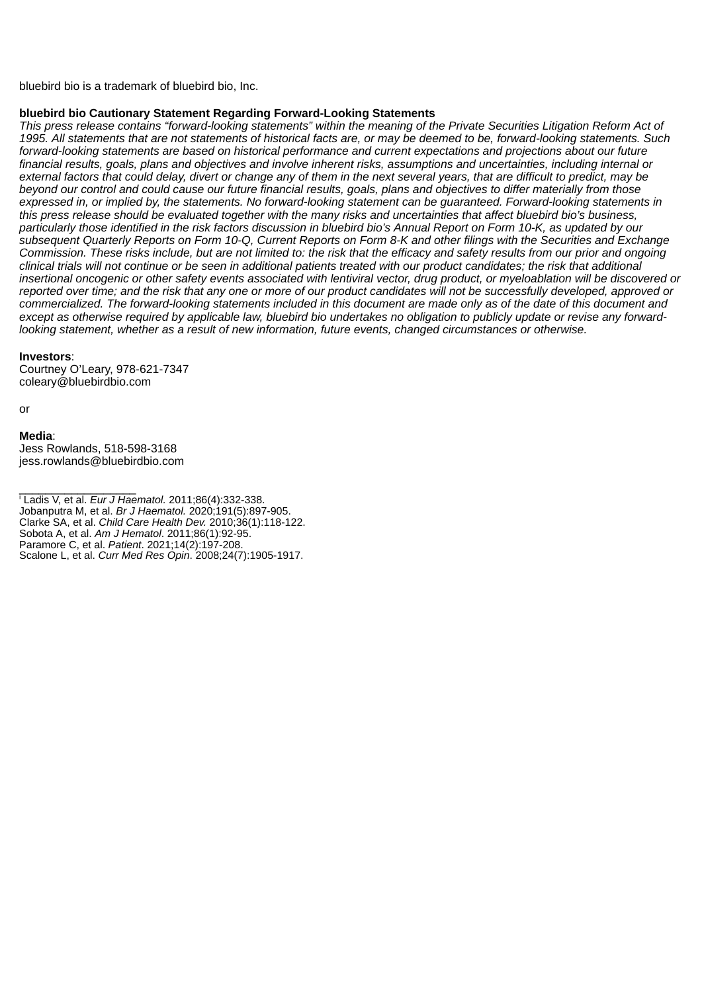bluebird bio is a trademark of bluebird bio, Inc.

#### **bluebird bio Cautionary Statement Regarding Forward-Looking Statements**

This press release contains "forward-looking statements" within the meaning of the Private Securities Litigation Reform Act of 1995. All statements that are not statements of historical facts are, or may be deemed to be, forward-looking statements, Such forward-looking statements are based on historical performance and current expectations and projections about our future financial results, goals, plans and objectives and involve inherent risks, assumptions and uncertainties, including internal or external factors that could delay, divert or change any of them in the next several years, that are difficult to predict, may be beyond our control and could cause our future financial results, goals, plans and objectives to differ materially from those expressed in, or implied by, the statements. No forward-looking statement can be quaranteed. Forward-looking statements in this press release should be evaluated together with the many risks and uncertainties that affect bluebird bio's business. particularly those identified in the risk factors discussion in bluebird bio's Annual Report on Form 10-K, as updated by our subsequent Quarterly Reports on Form 10-Q, Current Reports on Form 8-K and other filings with the Securities and Exchange Commission. These risks include, but are not limited to: the risk that the efficacy and safety results from our prior and ongoing clinical trials will not continue or be seen in additional patients treated with our product candidates; the risk that additional insertional oncogenic or other safety events associated with lentiviral vector, drug product, or myeloablation will be discovered or reported over time; and the risk that any one or more of our product candidates will not be successfully developed, approved or commercialized. The forward-looking statements included in this document are made only as of the date of this document and except as otherwise required by applicable law, bluebird bio undertakes no obligation to publicly update or revise any forward*looking statement, whether as a result of new information, future events, changed circumstances or otherwise.*

#### **Investors**:

Courtney O'Leary, 978-621-7347 coleary@bluebirdbio.com

or

**Media**: Jess Rowlands, 518-598-3168 jess.rowlands@bluebirdbio.com

Ladis V, et al. *Eur J Haematol.* 2011;86(4):332-338. iJobanputra M, et al. *Br J Haematol.* 2020;191(5):897-905. Clarke SA, et al. *Child Care Health Dev.* 2010;36(1):118-122. Sobota A, et al. *Am J Hematol*. 2011;86(1):92-95. Paramore C, et al. *Patient*. 2021;14(2):197-208. Scalone L, et al. *Curr Med Res Opin*. 2008;24(7):1905-1917.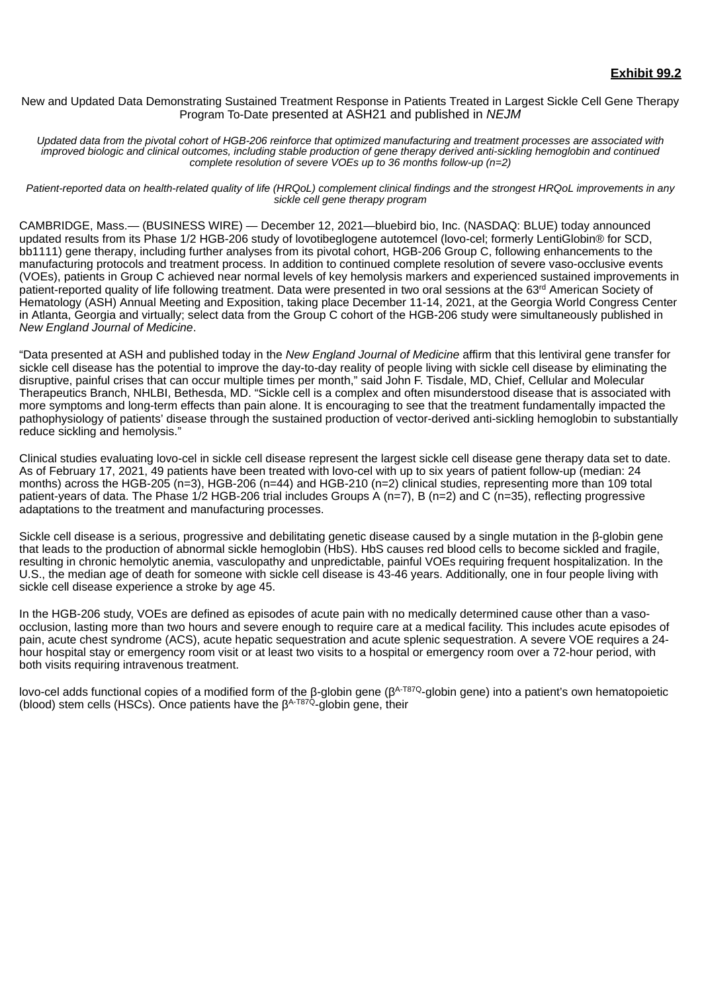<span id="page-8-0"></span>New and Updated Data Demonstrating Sustained Treatment Response in Patients Treated in Largest Sickle Cell Gene Therapy Program To-Date presented at ASH21 and published in *NEJM*

Undated data from the pivotal cohort of HGB-206 reinforce that optimized manufacturing and treatment processes are associated with improved biologic and clinical outcomes, including stable production of gene therapy derived anti-sickling hemoglobin and continued *complete resolution of severe VOEs up to 36 months follow-up (n=2)*

Patient-reported data on health-related quality of life (HROoL) complement clinical findings and the strongest HROoL improvements in any *sickle cell gene therapy program*

CAMBRIDGE, Mass.— (BUSINESS WIRE) — December 12, 2021—bluebird bio, Inc. (NASDAQ: BLUE) today announced updated results from its Phase 1/2 HGB-206 study of lovotibeglogene autotemcel (lovo-cel; formerly LentiGlobin® for SCD, bb1111) gene therapy, including further analyses from its pivotal cohort, HGB-206 Group C, following enhancements to the manufacturing protocols and treatment process. In addition to continued complete resolution of severe vaso-occlusive events (VOEs), patients in Group C achieved near normal levels of key hemolysis markers and experienced sustained improvements in patient-reported quality of life following treatment. Data were presented in two oral sessions at the 63<sup>rd</sup> American Society of Hematology (ASH) Annual Meeting and Exposition, taking place December 11-14, 2021, at the Georgia World Congress Center in Atlanta, Georgia and virtually; select data from the Group C cohort of the HGB-206 study were simultaneously published in *New England Journal of Medicine*.

"Data presented at ASH and published today in the *New England Journal of Medicine* affirm that this lentiviral gene transfer for sickle cell disease has the potential to improve the day-to-day reality of people living with sickle cell disease by eliminating the disruptive, painful crises that can occur multiple times per month," said John F. Tisdale, MD, Chief, Cellular and Molecular Therapeutics Branch, NHLBI, Bethesda, MD. "Sickle cell is a complex and often misunderstood disease that is associated with more symptoms and long-term effects than pain alone. It is encouraging to see that the treatment fundamentally impacted the pathophysiology of patients' disease through the sustained production of vector-derived anti-sickling hemoglobin to substantially reduce sickling and hemolysis."

Clinical studies evaluating lovo-cel in sickle cell disease represent the largest sickle cell disease gene therapy data set to date. As of February 17, 2021, 49 patients have been treated with lovo-cel with up to six years of patient follow-up (median: 24 months) across the HGB-205 (n=3), HGB-206 (n=44) and HGB-210 (n=2) clinical studies, representing more than 109 total patient-years of data. The Phase 1/2 HGB-206 trial includes Groups A (n=7), B (n=2) and C (n=35), reflecting progressive adaptations to the treatment and manufacturing processes.

Sickle cell disease is a serious, progressive and debilitating genetic disease caused by a single mutation in the β-globin gene that leads to the production of abnormal sickle hemoglobin (HbS). HbS causes red blood cells to become sickled and fragile, resulting in chronic hemolytic anemia, vasculopathy and unpredictable, painful VOEs requiring frequent hospitalization. In the U.S., the median age of death for someone with sickle cell disease is 43-46 years. Additionally, one in four people living with sickle cell disease experience a stroke by age 45.

In the HGB-206 study, VOEs are defined as episodes of acute pain with no medically determined cause other than a vasoocclusion, lasting more than two hours and severe enough to require care at a medical facility. This includes acute episodes of pain, acute chest syndrome (ACS), acute hepatic sequestration and acute splenic sequestration. A severe VOE requires a 24 hour hospital stay or emergency room visit or at least two visits to a hospital or emergency room over a 72-hour period, with both visits requiring intravenous treatment.

lovo-cel adds functional copies of a modified form of the β-globin gene (β<sup>A-T87Q</sup>-globin gene) into a patient's own hematopoietic (blood) stem cells (HSCs). Once patients have the  $\beta^{A-T87Q}$ -globin gene, their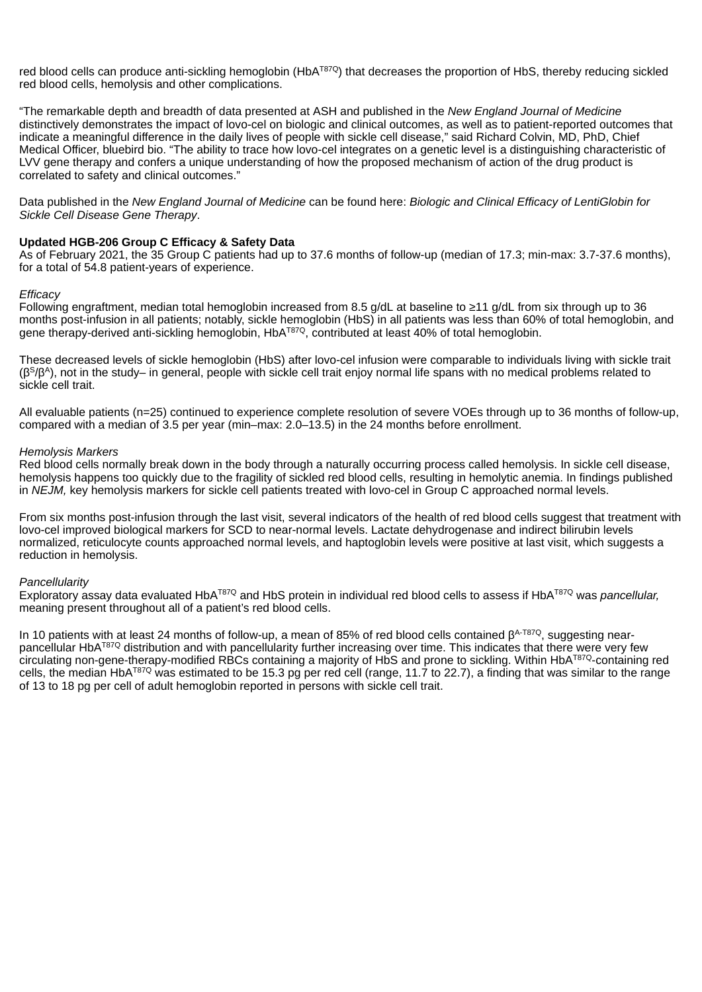red blood cells can produce anti-sickling hemoglobin (HbA $^{T87Q}$ ) that decreases the proportion of HbS, thereby reducing sickled red blood cells, hemolysis and other complications.

"The remarkable depth and breadth of data presented at ASH and published in the *New England Journal of Medicine* distinctively demonstrates the impact of lovo-cel on biologic and clinical outcomes, as well as to patient-reported outcomes that indicate a meaningful difference in the daily lives of people with sickle cell disease," said Richard Colvin, MD, PhD, Chief Medical Officer, bluebird bio. "The ability to trace how lovo-cel integrates on a genetic level is a distinguishing characteristic of LVV gene therapy and confers a unique understanding of how the proposed mechanism of action of the drug product is correlated to safety and clinical outcomes."

Data published in the *New England Journal of Medicine* can be found here: *Biologic and Clinical Efficacy of LentiGlobin for Sickle Cell Disease Gene Therapy*.

#### **Updated HGB-206 Group C Efficacy & Safety Data**

As of February 2021, the 35 Group C patients had up to 37.6 months of follow-up (median of 17.3; min-max: 3.7-37.6 months), for a total of 54.8 patient-years of experience.

#### *Efficacy*

Following engraftment, median total hemoglobin increased from 8.5 g/dL at baseline to ≥11 g/dL from six through up to 36 months post-infusion in all patients; notably, sickle hemoglobin (HbS) in all patients was less than 60% of total hemoglobin, and gene therapy-derived anti-sickling hemoglobin,  $HbA^{T87Q}$ , contributed at least 40% of total hemoglobin.

These decreased levels of sickle hemoglobin (HbS) after lovo-cel infusion were comparable to individuals living with sickle trait  $(\beta^S/\beta^A)$ , not in the study– in general, people with sickle cell trait enjoy normal life spans with no medical problems related to sickle cell trait.

All evaluable patients (n=25) continued to experience complete resolution of severe VOEs through up to 36 months of follow-up, compared with a median of 3.5 per year (min–max: 2.0–13.5) in the 24 months before enrollment.

#### *Hemolysis Markers*

Red blood cells normally break down in the body through a naturally occurring process called hemolysis. In sickle cell disease, hemolysis happens too quickly due to the fragility of sickled red blood cells, resulting in hemolytic anemia. In findings published in *NEJM,* key hemolysis markers for sickle cell patients treated with lovo-cel in Group C approached normal levels.

From six months post-infusion through the last visit, several indicators of the health of red blood cells suggest that treatment with lovo-cel improved biological markers for SCD to near-normal levels. Lactate dehydrogenase and indirect bilirubin levels normalized, reticulocyte counts approached normal levels, and haptoglobin levels were positive at last visit, which suggests a reduction in hemolysis.

#### *Pancellularity*

Exploratory assay data evaluated HbA<sup>T87Q</sup> and HbS protein in individual red blood cells to assess if HbA<sup>T87Q</sup> was *pancellular*, meaning present throughout all of a patient's red blood cells.

In 10 patients with at least 24 months of follow-up, a mean of 85% of red blood cells contained  $\beta^{A-T87Q}$ , suggesting nearpancellular HbA<sup>T87Q</sup> distribution and with pancellularity further increasing over time. This indicates that there were very few circulating non-gene-therapy-modified RBCs containing a majority of HbS and prone to sickling. Within HbA<sup>T87Q</sup>-containing red cells, the median HbA<sup>T87Q</sup> was estimated to be 15.3 pg per red cell (range, 11.7 to 22.7), a finding that was similar to the range of 13 to 18 pg per cell of adult hemoglobin reported in persons with sickle cell trait.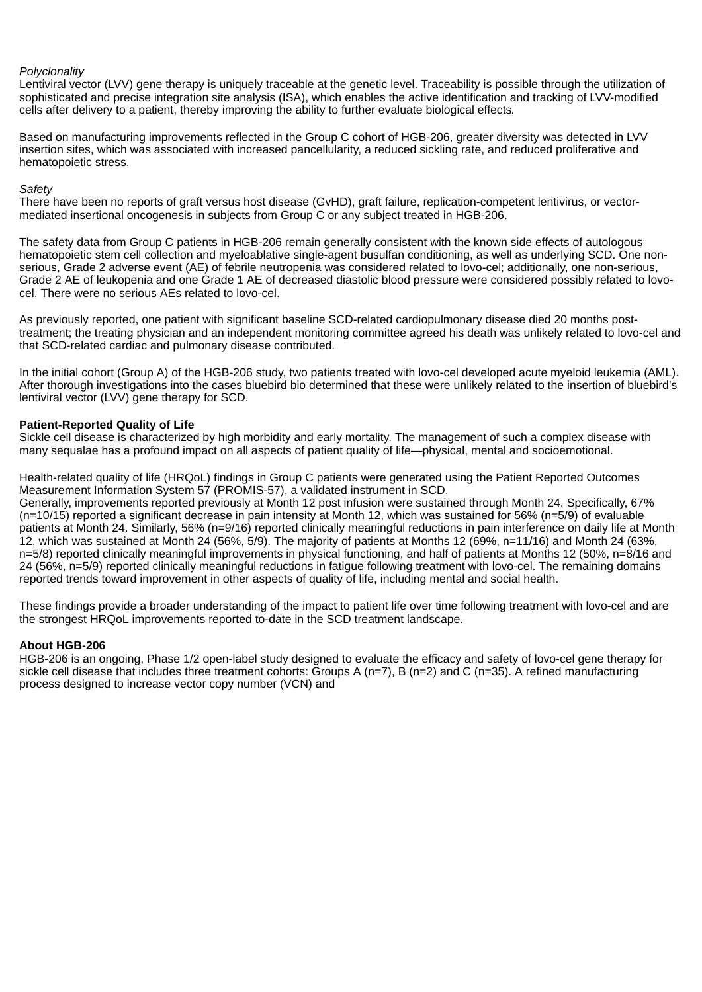#### *Polyclonality*

Lentiviral vector (LVV) gene therapy is uniquely traceable at the genetic level. Traceability is possible through the utilization of sophisticated and precise integration site analysis (ISA), which enables the active identification and tracking of LVV-modified cells after delivery to a patient, thereby improving the ability to further evaluate biological effects*.*

Based on manufacturing improvements reflected in the Group C cohort of HGB-206, greater diversity was detected in LVV insertion sites, which was associated with increased pancellularity, a reduced sickling rate, and reduced proliferative and hematopoietic stress.

#### *Safety*

There have been no reports of graft versus host disease (GvHD), graft failure, replication-competent lentivirus, or vectormediated insertional oncogenesis in subjects from Group C or any subject treated in HGB-206.

The safety data from Group C patients in HGB-206 remain generally consistent with the known side effects of autologous hematopoietic stem cell collection and myeloablative single-agent busulfan conditioning, as well as underlying SCD. One nonserious, Grade 2 adverse event (AE) of febrile neutropenia was considered related to lovo-cel; additionally, one non-serious, Grade 2 AE of leukopenia and one Grade 1 AE of decreased diastolic blood pressure were considered possibly related to lovocel. There were no serious AEs related to lovo-cel.

As previously reported, one patient with significant baseline SCD-related cardiopulmonary disease died 20 months posttreatment; the treating physician and an independent monitoring committee agreed his death was unlikely related to lovo-cel and that SCD-related cardiac and pulmonary disease contributed.

In the initial cohort (Group A) of the HGB-206 study, two patients treated with lovo-cel developed acute myeloid leukemia (AML). After thorough investigations into the cases bluebird bio determined that these were unlikely related to the insertion of bluebird's lentiviral vector (LVV) gene therapy for SCD.

#### **Patient-Reported Quality of Life**

Sickle cell disease is characterized by high morbidity and early mortality. The management of such a complex disease with many sequalae has a profound impact on all aspects of patient quality of life—physical, mental and socioemotional.

Health-related quality of life (HRQoL) findings in Group C patients were generated using the Patient Reported Outcomes Measurement Information System 57 (PROMIS-57), a validated instrument in SCD.

Generally, improvements reported previously at Month 12 post infusion were sustained through Month 24. Specifically, 67% (n=10/15) reported a significant decrease in pain intensity at Month 12, which was sustained for 56% (n=5/9) of evaluable patients at Month 24. Similarly, 56% (n=9/16) reported clinically meaningful reductions in pain interference on daily life at Month 12, which was sustained at Month 24 (56%, 5/9). The majority of patients at Months 12 (69%, n=11/16) and Month 24 (63%, n=5/8) reported clinically meaningful improvements in physical functioning, and half of patients at Months 12 (50%, n=8/16 and 24 (56%, n=5/9) reported clinically meaningful reductions in fatigue following treatment with lovo-cel. The remaining domains reported trends toward improvement in other aspects of quality of life, including mental and social health.

These findings provide a broader understanding of the impact to patient life over time following treatment with lovo-cel and are the strongest HRQoL improvements reported to-date in the SCD treatment landscape.

#### **About HGB-206**

HGB-206 is an ongoing, Phase 1/2 open-label study designed to evaluate the efficacy and safety of lovo-cel gene therapy for sickle cell disease that includes three treatment cohorts: Groups A (n=7), B (n=2) and C (n=35). A refined manufacturing process designed to increase vector copy number (VCN) and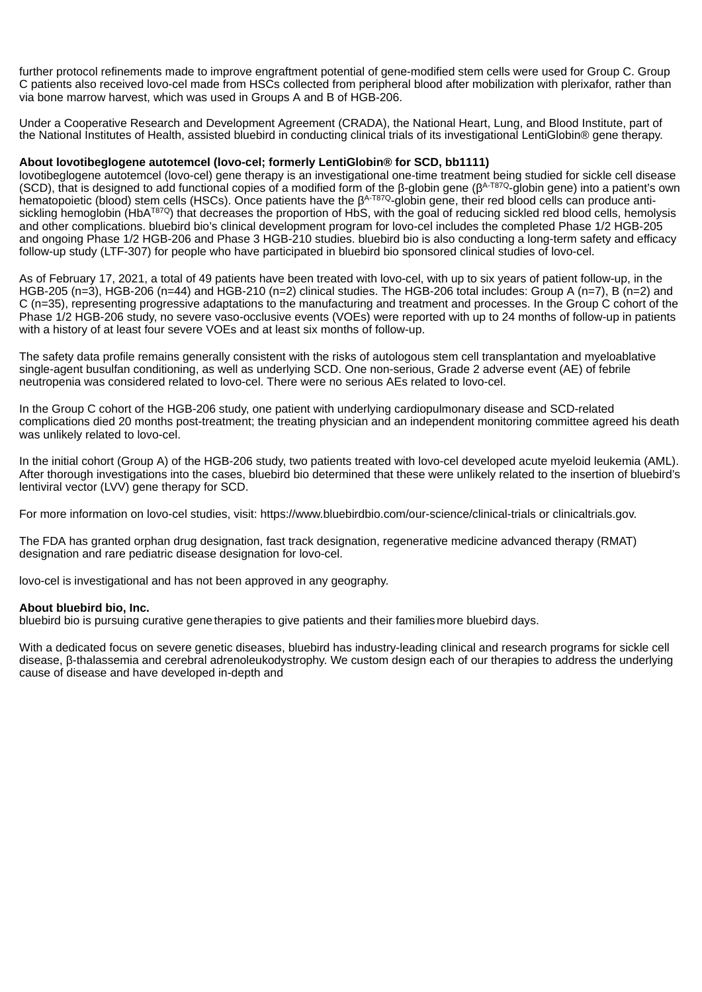further protocol refinements made to improve engraftment potential of gene-modified stem cells were used for Group C. Group C patients also received lovo-cel made from HSCs collected from peripheral blood after mobilization with plerixafor, rather than via bone marrow harvest, which was used in Groups A and B of HGB-206.

Under a Cooperative Research and Development Agreement (CRADA), the National Heart, Lung, and Blood Institute, part of the National Institutes of Health, assisted bluebird in conducting clinical trials of its investigational LentiGlobin® gene therapy.

#### **About lovotibeglogene autotemcel (lovo-cel; formerly LentiGlobin® for SCD, bb1111)**

lovotibeglogene autotemcel (lovo-cel) gene therapy is an investigational one-time treatment being studied for sickle cell disease (SCD), that is designed to add functional copies of a modified form of the β-globin gene ( $\beta^{A-T87Q}$ -globin gene) into a patient's own hematopoietic (blood) stem cells (HSCs). Once patients have the β<sup>A-T87Q</sup>-globin gene, their red blood cells can produce antisickling hemoglobin (HbA $^{187Q}$ ) that decreases the proportion of HbS, with the goal of reducing sickled red blood cells, hemolysis and other complications. bluebird bio's clinical development program for lovo-cel includes the completed Phase 1/2 HGB-205 and ongoing Phase 1/2 HGB-206 and Phase 3 HGB-210 studies. bluebird bio is also conducting a long-term safety and efficacy follow-up study (LTF-307) for people who have participated in bluebird bio sponsored clinical studies of lovo-cel.

As of February 17, 2021, a total of 49 patients have been treated with lovo-cel, with up to six years of patient follow-up, in the HGB-205 (n=3), HGB-206 (n=44) and HGB-210 (n=2) clinical studies. The HGB-206 total includes: Group A (n=7), B (n=2) and C (n=35), representing progressive adaptations to the manufacturing and treatment and processes. In the Group C cohort of the Phase 1/2 HGB-206 study, no severe vaso-occlusive events (VOEs) were reported with up to 24 months of follow-up in patients with a history of at least four severe VOEs and at least six months of follow-up.

The safety data profile remains generally consistent with the risks of autologous stem cell transplantation and myeloablative single-agent busulfan conditioning, as well as underlying SCD. One non-serious, Grade 2 adverse event (AE) of febrile neutropenia was considered related to lovo-cel. There were no serious AEs related to lovo-cel.

In the Group C cohort of the HGB-206 study, one patient with underlying cardiopulmonary disease and SCD-related complications died 20 months post-treatment; the treating physician and an independent monitoring committee agreed his death was unlikely related to lovo-cel.

In the initial cohort (Group A) of the HGB-206 study, two patients treated with lovo-cel developed acute myeloid leukemia (AML). After thorough investigations into the cases, bluebird bio determined that these were unlikely related to the insertion of bluebird's lentiviral vector (LVV) gene therapy for SCD.

For more information on lovo-cel studies, visit: https://www.bluebirdbio.com/our-science/clinical-trials or clinicaltrials.gov.

The FDA has granted orphan drug designation, fast track designation, regenerative medicine advanced therapy (RMAT) designation and rare pediatric disease designation for lovo-cel.

lovo-cel is investigational and has not been approved in any geography.

#### **About bluebird bio, Inc.**

bluebird bio is pursuing curative genetherapies to give patients and their familiesmore bluebird days.

With a dedicated focus on severe genetic diseases, bluebird has industry-leading clinical and research programs for sickle cell disease, β-thalassemia and cerebral adrenoleukodystrophy. We custom design each of our therapies to address the underlying cause of disease and have developed in-depth and